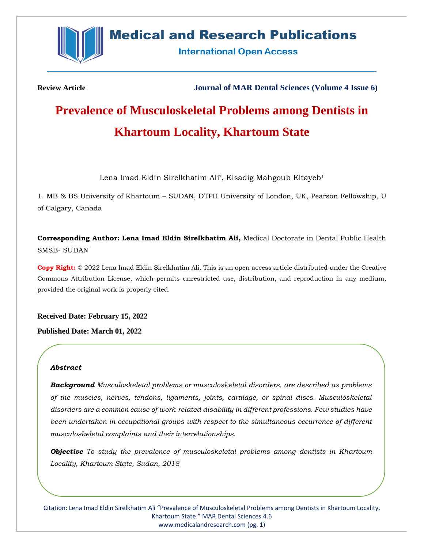

# **Medical and Research Publications**

**International Open Access** 

**Review Article Journal of MAR Dental Sciences (Volume 4 Issue 6)**

# **Prevalence of Musculoskeletal Problems among Dentists in Khartoum Locality, Khartoum State**

Lena Imad Eldin Sirelkhatim Ali\*, Elsadig Mahgoub Eltayeb<sup>1</sup>

1. MB & BS University of Khartoum – SUDAN, DTPH University of London, UK, Pearson Fellowship, U of Calgary, Canada

**Corresponding Author: Lena Imad Eldin Sirelkhatim Ali,** Medical Doctorate in Dental Public Health SMSB- SUDAN

**Copy Right:** © 2022 Lena Imad Eldin Sirelkhatim Ali, This is an open access article distributed under the Creative Commons Attribution License, which permits unrestricted use, distribution, and reproduction in any medium, provided the original work is properly cited.

**Received Date: February 15, 2022 Published Date: March 01, 2022**

### *Abstract*

*Background Musculoskeletal problems or musculoskeletal disorders, are described as problems of the muscles, nerves, tendons, ligaments, joints, cartilage, or spinal discs. Musculoskeletal disorders are a common cause of work-related disability in different professions. Few studies have been undertaken in occupational groups with respect to the simultaneous occurrence of different musculoskeletal complaints and their interrelationships.*

*Objective To study the prevalence of musculoskeletal problems among dentists in Khartoum Locality, Khartoum State, Sudan, 2018*

Citation: Lena Imad Eldin Sirelkhatim Ali "Prevalence of Musculoskeletal Problems among Dentists in Khartoum Locality, Khartoum State." MAR Dental Sciences.4.6 [www.medicalandresearch.com](http://www.medicalandresearch.com/) (pg. 1)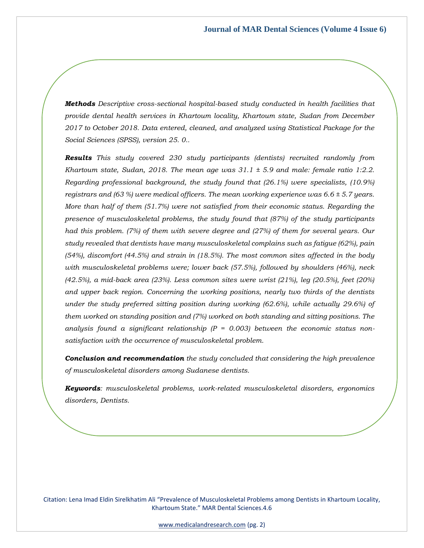*Methods Descriptive cross-sectional hospital-based study conducted in health facilities that provide dental health services in Khartoum locality, Khartoum state, Sudan from December 2017 to October 2018. Data entered, cleaned, and analyzed using Statistical Package for the Social Sciences (SPSS), version 25. 0..*

*Results This study covered 230 study participants (dentists) recruited randomly from Khartoum state, Sudan, 2018. The mean age was 31.1 ± 5.9 and male: female ratio 1:2.2. Regarding professional background, the study found that (26.1%) were specialists, (10.9%) registrars and (63 %) were medical officers. The mean working experience was 6.6 ± 5.7 years. More than half of them (51.7%) were not satisfied from their economic status. Regarding the presence of musculoskeletal problems, the study found that (87%) of the study participants had this problem. (7%) of them with severe degree and (27%) of them for several years. Our study revealed that dentists have many musculoskeletal complains such as fatigue (62%), pain (54%), discomfort (44.5%) and strain in (18.5%). The most common sites affected in the body with musculoskeletal problems were; lower back (57.5%), followed by shoulders (46%), neck (42.5%), a mid-back area (23%). Less common sites were wrist (21%), leg (20.5%), feet (20%) and upper back region. Concerning the working positions, nearly two thirds of the dentists under the study preferred sitting position during working (62.6%), while actually 29.6%) of them worked on standing position and (7%) worked on both standing and sitting positions. The analysis found a significant relationship (P = 0.003) between the economic status nonsatisfaction with the occurrence of musculoskeletal problem.*

*Conclusion and recommendation the study concluded that considering the high prevalence of musculoskeletal disorders among Sudanese dentists.* 

*Keywords: musculoskeletal problems, work-related musculoskeletal disorders, ergonomics disorders, Dentists.*

Citation: Lena Imad Eldin Sirelkhatim Ali "Prevalence of Musculoskeletal Problems among Dentists in Khartoum Locality, Khartoum State." MAR Dental Sciences.4.6

[www.medicalandresearch.com](http://www.medicalandresearch.com/) (pg. 2)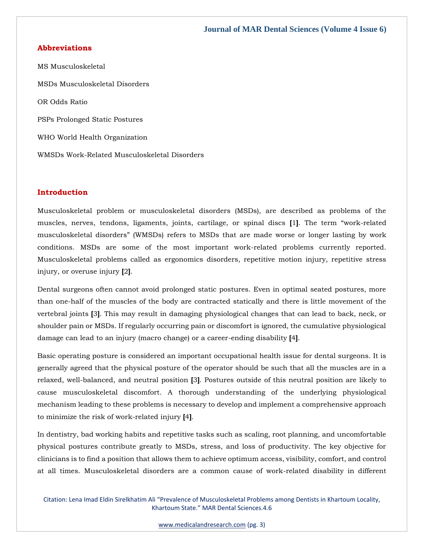#### **Abbreviations**

MS Musculoskeletal MSDs Musculoskeletal Disorders OR Odds Ratio PSPs Prolonged Static Postures WHO World Health Organization WMSDs Work-Related Musculoskeletal Disorders

#### **Introduction**

Musculoskeletal problem or musculoskeletal disorders (MSDs), are described as problems of the muscles, nerves, tendons, ligaments, joints, cartilage, or spinal discs **[**1**]**. The term "work-related musculoskeletal disorders" (WMSDs) refers to MSDs that are made worse or longer lasting by work conditions. MSDs are some of the most important work-related problems currently reported. Musculoskeletal problems called as ergonomics disorders, repetitive motion injury, repetitive stress injury, or overuse injury **[**2**]**.

Dental surgeons often cannot avoid prolonged static postures. Even in optimal seated postures, more than one-half of the muscles of the body are contracted statically and there is little movement of the vertebral joints **[**3**]**. This may result in damaging physiological changes that can lead to back, neck, or shoulder pain or MSDs. If regularly occurring pain or discomfort is ignored, the cumulative physiological damage can lead to an injury (macro change) or a career-ending disability **[**4**]**.

Basic operating posture is considered an important occupational health issue for dental surgeons. It is generally agreed that the physical posture of the operator should be such that all the muscles are in a relaxed, well-balanced, and neutral position **[**3**]**. Postures outside of this neutral position are likely to cause musculoskeletal discomfort. A thorough understanding of the underlying physiological mechanism leading to these problems is necessary to develop and implement a comprehensive approach to minimize the risk of work-related injury **[**4**]**.

In dentistry, bad working habits and repetitive tasks such as scaling, root planning, and uncomfortable physical postures contribute greatly to MSDs, stress, and loss of productivity. The key objective for clinicians is to find a position that allows them to achieve optimum access, visibility, comfort, and control at all times. Musculoskeletal disorders are a common cause of work-related disability in different

Citation: Lena Imad Eldin Sirelkhatim Ali "Prevalence of Musculoskeletal Problems among Dentists in Khartoum Locality, Khartoum State." MAR Dental Sciences.4.6

[www.medicalandresearch.com](http://www.medicalandresearch.com/) (pg. 3)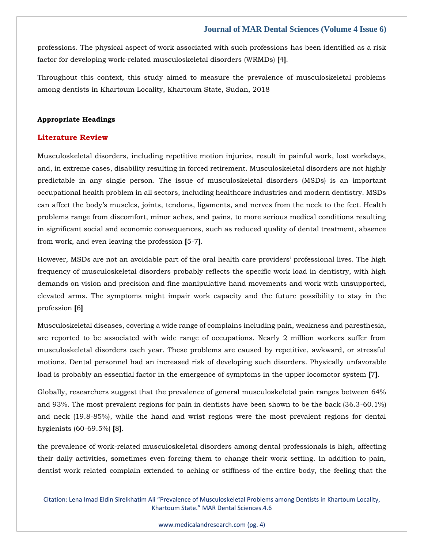professions. The physical aspect of work associated with such professions has been identified as a risk factor for developing work-related musculoskeletal disorders (WRMDs) **[**4**]**.

Throughout this context, this study aimed to measure the prevalence of musculoskeletal problems among dentists in Khartoum Locality, Khartoum State, Sudan, 2018

#### **Appropriate Headings**

#### **Literature Review**

Musculoskeletal disorders, including repetitive motion injuries, result in painful work, lost workdays, and, in extreme cases, disability resulting in forced retirement. Musculoskeletal disorders are not highly predictable in any single person. The issue of musculoskeletal disorders (MSDs) is an important occupational health problem in all sectors, including healthcare industries and modern dentistry. MSDs can affect the body's muscles, joints, tendons, ligaments, and nerves from the neck to the feet. Health problems range from discomfort, minor aches, and pains, to more serious medical conditions resulting in significant social and economic consequences, such as reduced quality of dental treatment, absence from work, and even leaving the profession **[**5-7**]**.

However, MSDs are not an avoidable part of the oral health care providers' professional lives. The high frequency of musculoskeletal disorders probably reflects the specific work load in dentistry, with high demands on vision and precision and fine manipulative hand movements and work with unsupported, elevated arms. The symptoms might impair work capacity and the future possibility to stay in the profession **[**6**]**

Musculoskeletal diseases, covering a wide range of complains including pain, weakness and paresthesia, are reported to be associated with wide range of occupations. Nearly 2 million workers suffer from musculoskeletal disorders each year. These problems are caused by repetitive, awkward, or stressful motions. Dental personnel had an increased risk of developing such disorders. Physically unfavorable load is probably an essential factor in the emergence of symptoms in the upper locomotor system **[**7**]**.

Globally, researchers suggest that the prevalence of general musculoskeletal pain ranges between 64% and 93%. The most prevalent regions for pain in dentists have been shown to be the back (36.3-60.1%) and neck (19.8-85%), while the hand and wrist regions were the most prevalent regions for dental hygienists (60-69.5%) **[**8**]**.

the prevalence of work-related musculoskeletal disorders among dental professionals is high, affecting their daily activities, sometimes even forcing them to change their work setting. In addition to pain, dentist work related complain extended to aching or stiffness of the entire body, the feeling that the

Citation: Lena Imad Eldin Sirelkhatim Ali "Prevalence of Musculoskeletal Problems among Dentists in Khartoum Locality, Khartoum State." MAR Dental Sciences.4.6

[www.medicalandresearch.com](http://www.medicalandresearch.com/) (pg. 4)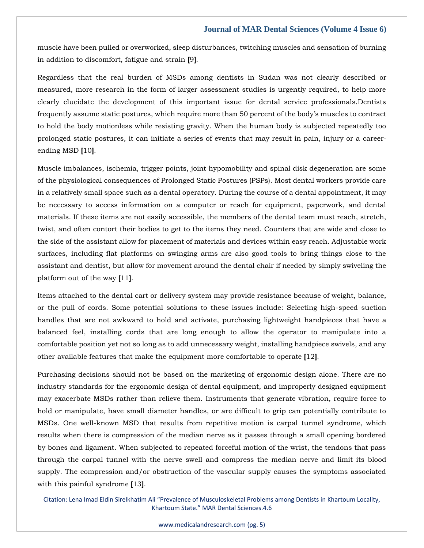muscle have been pulled or overworked, sleep disturbances, twitching muscles and sensation of burning in addition to discomfort, fatigue and strain **[**9**]**.

Regardless that the real burden of MSDs among dentists in Sudan was not clearly described or measured, more research in the form of larger assessment studies is urgently required, to help more clearly elucidate the development of this important issue for dental service professionals.Dentists frequently assume static postures, which require more than 50 percent of the body's muscles to contract to hold the body motionless while resisting gravity. When the human body is subjected repeatedly too prolonged static postures, it can initiate a series of events that may result in pain, injury or a careerending MSD **[**10**]**.

Muscle imbalances, ischemia, trigger points, joint hypomobility and spinal disk degeneration are some of the physiological consequences of Prolonged Static Postures (PSPs). Most dental workers provide care in a relatively small space such as a dental operatory. During the course of a dental appointment, it may be necessary to access information on a computer or reach for equipment, paperwork, and dental materials. If these items are not easily accessible, the members of the dental team must reach, stretch, twist, and often contort their bodies to get to the items they need. Counters that are wide and close to the side of the assistant allow for placement of materials and devices within easy reach. Adjustable work surfaces, including flat platforms on swinging arms are also good tools to bring things close to the assistant and dentist, but allow for movement around the dental chair if needed by simply swiveling the platform out of the way **[**11**]**.

Items attached to the dental cart or delivery system may provide resistance because of weight, balance, or the pull of cords. Some potential solutions to these issues include: Selecting high-speed suction handles that are not awkward to hold and activate, purchasing lightweight handpieces that have a balanced feel, installing cords that are long enough to allow the operator to manipulate into a comfortable position yet not so long as to add unnecessary weight, installing handpiece swivels, and any other available features that make the equipment more comfortable to operate **[**12**]**.

Purchasing decisions should not be based on the marketing of ergonomic design alone. There are no industry standards for the ergonomic design of dental equipment, and improperly designed equipment may exacerbate MSDs rather than relieve them. Instruments that generate vibration, require force to hold or manipulate, have small diameter handles, or are difficult to grip can potentially contribute to MSDs. One well-known MSD that results from repetitive motion is carpal tunnel syndrome, which results when there is compression of the median nerve as it passes through a small opening bordered by bones and ligament. When subjected to repeated forceful motion of the wrist, the tendons that pass through the carpal tunnel with the nerve swell and compress the median nerve and limit its blood supply. The compression and/or obstruction of the vascular supply causes the symptoms associated with this painful syndrome **[**13**]**.

Citation: Lena Imad Eldin Sirelkhatim Ali "Prevalence of Musculoskeletal Problems among Dentists in Khartoum Locality, Khartoum State." MAR Dental Sciences.4.6

[www.medicalandresearch.com](http://www.medicalandresearch.com/) (pg. 5)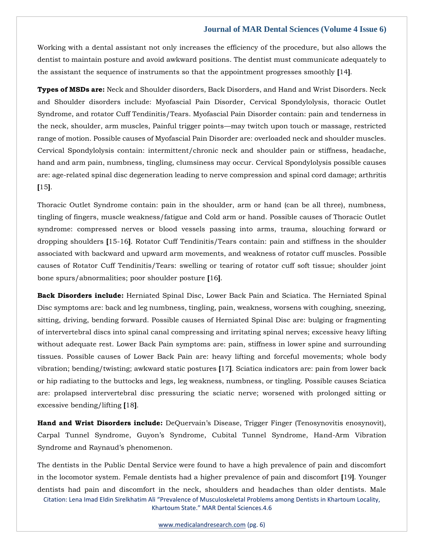Working with a dental assistant not only increases the efficiency of the procedure, but also allows the dentist to maintain posture and avoid awkward positions. The dentist must communicate adequately to the assistant the sequence of instruments so that the appointment progresses smoothly **[**14**]**.

**Types of MSDs are:** Neck and Shoulder disorders, Back Disorders, and Hand and Wrist Disorders. Neck and Shoulder disorders include: Myofascial Pain Disorder, Cervical Spondylolysis, thoracic Outlet Syndrome, and rotator Cuff Tendinitis/Tears. Myofascial Pain Disorder contain: pain and tenderness in the neck, shoulder, arm muscles, Painful trigger points—may twitch upon touch or massage, restricted range of motion. Possible causes of Myofascial Pain Disorder are: overloaded neck and shoulder muscles. Cervical Spondylolysis contain: intermittent/chronic neck and shoulder pain or stiffness, headache, hand and arm pain, numbness, tingling, clumsiness may occur. Cervical Spondylolysis possible causes are: age-related spinal disc degeneration leading to nerve compression and spinal cord damage; arthritis **[**15**]**.

Thoracic Outlet Syndrome contain: pain in the shoulder, arm or hand (can be all three), numbness, tingling of fingers, muscle weakness/fatigue and Cold arm or hand. Possible causes of Thoracic Outlet syndrome: compressed nerves or blood vessels passing into arms, trauma, slouching forward or dropping shoulders **[**15-16**]**. Rotator Cuff Tendinitis/Tears contain: pain and stiffness in the shoulder associated with backward and upward arm movements, and weakness of rotator cuff muscles. Possible causes of Rotator Cuff Tendinitis/Tears: swelling or tearing of rotator cuff soft tissue; shoulder joint bone spurs/abnormalities; poor shoulder posture **[**16**]**.

**Back Disorders include:** Herniated Spinal Disc, Lower Back Pain and Sciatica. The Herniated Spinal Disc symptoms are: back and leg numbness, tingling, pain, weakness, worsens with coughing, sneezing, sitting, driving, bending forward. Possible causes of Herniated Spinal Disc are: bulging or fragmenting of intervertebral discs into spinal canal compressing and irritating spinal nerves; excessive heavy lifting without adequate rest. Lower Back Pain symptoms are: pain, stiffness in lower spine and surrounding tissues. Possible causes of Lower Back Pain are: heavy lifting and forceful movements; whole body vibration; bending/twisting; awkward static postures **[**17**]**. Sciatica indicators are: pain from lower back or hip radiating to the buttocks and legs, leg weakness, numbness, or tingling. Possible causes Sciatica are: prolapsed intervertebral disc pressuring the sciatic nerve; worsened with prolonged sitting or excessive bending/lifting **[**18**]**.

**Hand and Wrist Disorders include:** DeQuervain's Disease, Trigger Finger (Tenosynovitis enosynovit), Carpal Tunnel Syndrome, Guyon's Syndrome, Cubital Tunnel Syndrome, Hand-Arm Vibration Syndrome and Raynaud's phenomenon.

The dentists in the Public Dental Service were found to have a high prevalence of pain and discomfort in the locomotor system. Female dentists had a higher prevalence of pain and discomfort **[**19**]**. Younger dentists had pain and discomfort in the neck, shoulders and headaches than older dentists. Male

Citation: Lena Imad Eldin Sirelkhatim Ali "Prevalence of Musculoskeletal Problems among Dentists in Khartoum Locality, Khartoum State." MAR Dental Sciences.4.6

[www.medicalandresearch.com](http://www.medicalandresearch.com/) (pg. 6)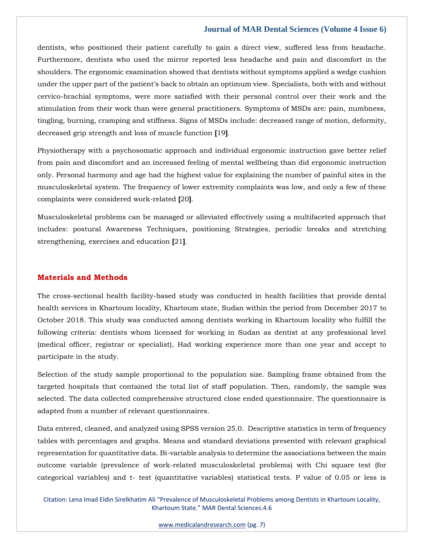dentists, who positioned their patient carefully to gain a direct view, suffered less from headache. Furthermore, dentists who used the mirror reported less headache and pain and discomfort in the shoulders. The ergonomic examination showed that dentists without symptoms applied a wedge cushion under the upper part of the patient's back to obtain an optimum view. Specialists, both with and without cervico-brachial symptoms, were more satisfied with their personal control over their work and the stimulation from their work than were general practitioners. Symptoms of MSDs are: pain, numbness, tingling, burning, cramping and stiffness. Signs of MSDs include: decreased range of motion, deformity, decreased grip strength and loss of muscle function **[**19**]**.

Physiotherapy with a psychosomatic approach and individual ergonomic instruction gave better relief from pain and discomfort and an increased feeling of mental wellbeing than did ergonomic instruction only. Personal harmony and age had the highest value for explaining the number of painful sites in the musculoskeletal system. The frequency of lower extremity complaints was low, and only a few of these complaints were considered work-related **[**20**]**.

Musculoskeletal problems can be managed or alleviated effectively using a multifaceted approach that includes: postural Awareness Techniques, positioning Strategies, periodic breaks and stretching strengthening, exercises and education **[**21**]**.

#### **Materials and Methods**

The cross-sectional health facility-based study was conducted in health facilities that provide dental health services in Khartoum locality, Khartoum state, Sudan within the period from December 2017 to October 2018. This study was conducted among dentists working in Khartoum locality who fulfill the following criteria: dentists whom licensed for working in Sudan as dentist at any professional level (medical officer, registrar or specialist), Had working experience more than one year and accept to participate in the study.

Selection of the study sample proportional to the population size. Sampling frame obtained from the targeted hospitals that contained the total list of staff population. Then, randomly, the sample was selected. The data collected comprehensive structured close ended questionnaire. The questionnaire is adapted from a number of relevant questionnaires.

Data entered, cleaned, and analyzed using SPSS version 25.0. Descriptive statistics in term of frequency tables with percentages and graphs. Means and standard deviations presented with relevant graphical representation for quantitative data. Bi-variable analysis to determine the associations between the main outcome variable (prevalence of work-related musculoskeletal problems) with Chi square test (for categorical variables) and t- test (quantitative variables) statistical tests. P value of 0.05 or less is

Citation: Lena Imad Eldin Sirelkhatim Ali "Prevalence of Musculoskeletal Problems among Dentists in Khartoum Locality, Khartoum State." MAR Dental Sciences.4.6

[www.medicalandresearch.com](http://www.medicalandresearch.com/) (pg. 7)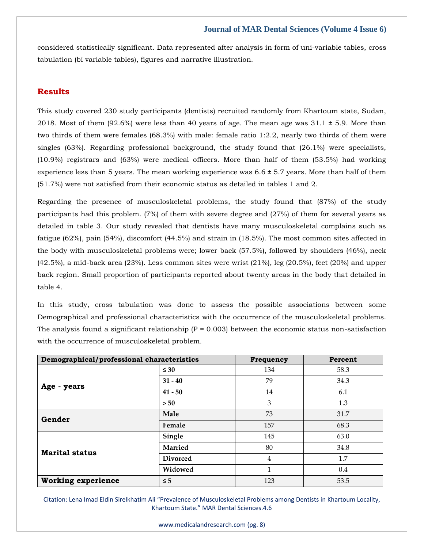considered statistically significant. Data represented after analysis in form of uni-variable tables, cross tabulation (bi variable tables), figures and narrative illustration.

## **Results**

This study covered 230 study participants (dentists) recruited randomly from Khartoum state, Sudan, 2018. Most of them  $(92.6\%)$  were less than 40 years of age. The mean age was  $31.1 \pm 5.9$ . More than two thirds of them were females (68.3%) with male: female ratio 1:2.2, nearly two thirds of them were singles (63%). Regarding professional background, the study found that (26.1%) were specialists, (10.9%) registrars and (63%) were medical officers. More than half of them (53.5%) had working experience less than 5 years. The mean working experience was  $6.6 \pm 5.7$  years. More than half of them (51.7%) were not satisfied from their economic status as detailed in tables 1 and 2.

Regarding the presence of musculoskeletal problems, the study found that (87%) of the study participants had this problem. (7%) of them with severe degree and (27%) of them for several years as detailed in table 3. Our study revealed that dentists have many musculoskeletal complains such as fatigue (62%), pain (54%), discomfort (44.5%) and strain in (18.5%). The most common sites affected in the body with musculoskeletal problems were; lower back (57.5%), followed by shoulders (46%), neck (42.5%), a mid-back area (23%). Less common sites were wrist (21%), leg (20.5%), feet (20%) and upper back region. Small proportion of participants reported about twenty areas in the body that detailed in table 4.

In this study, cross tabulation was done to assess the possible associations between some Demographical and professional characteristics with the occurrence of the musculoskeletal problems. The analysis found a significant relationship  $(P = 0.003)$  between the economic status non-satisfaction with the occurrence of musculoskeletal problem.

| Demographical/professional characteristics |                 | Frequency | Percent |
|--------------------------------------------|-----------------|-----------|---------|
| Age - years                                | $\leq 30$       | 134       | 58.3    |
|                                            | $31 - 40$       | 79        | 34.3    |
|                                            | $41 - 50$       | 14        | 6.1     |
|                                            | > 50            | 3         | 1.3     |
| Gender                                     | Male            | 73        | 31.7    |
|                                            | Female          | 157       | 68.3    |
| <b>Marital status</b>                      | Single          | 145       | 63.0    |
|                                            | <b>Married</b>  | 80        | 34.8    |
|                                            | <b>Divorced</b> | 4         | 1.7     |
|                                            | Widowed         | 1         | 0.4     |
| <b>Working experience</b>                  | $\leq$ 5        | 123       | 53.5    |

Citation: Lena Imad Eldin Sirelkhatim Ali "Prevalence of Musculoskeletal Problems among Dentists in Khartoum Locality, Khartoum State." MAR Dental Sciences.4.6

[www.medicalandresearch.com](http://www.medicalandresearch.com/) (pg. 8)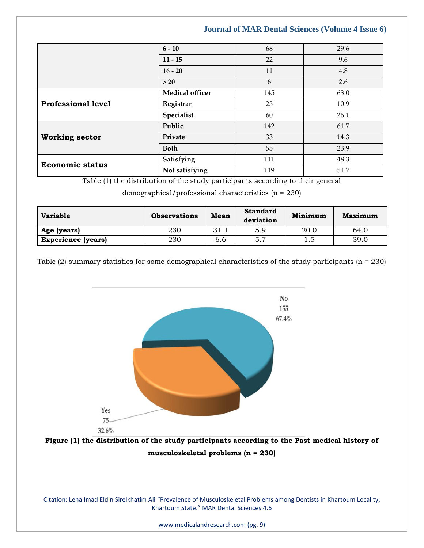|                           | $6 - 10$               | 68  | 29.6 |
|---------------------------|------------------------|-----|------|
|                           | $11 - 15$              | 22  | 9.6  |
|                           | $16 - 20$              | 11  | 4.8  |
|                           | >20                    | 6   | 2.6  |
| <b>Professional level</b> | <b>Medical officer</b> | 145 | 63.0 |
|                           | Registrar              | 25  | 10.9 |
|                           | Specialist             | 60  | 26.1 |
| <b>Working sector</b>     | Public                 | 142 | 61.7 |
|                           | Private                | 33  | 14.3 |
|                           | <b>Both</b>            | 55  | 23.9 |
| <b>Economic status</b>    | Satisfying             | 111 | 48.3 |
|                           | Not satisfying         | 119 | 51.7 |

Table (1) the distribution of the study participants according to their general

demographical/professional characteristics (n = 230)

| <b>Variable</b>           | <b>Observations</b> | Mean | <b>Standard</b><br>deviation | Minimum | Maximum |
|---------------------------|---------------------|------|------------------------------|---------|---------|
| Age (years)               | 230                 | 31.1 | 5.9                          | 20.0    | 64.0    |
| <b>Experience (years)</b> | 230                 | 6.6  | 5.7                          | ن. 1    | 39.0    |

Table (2) summary statistics for some demographical characteristics of the study participants ( $n = 230$ )



**Figure (1) the distribution of the study participants according to the Past medical history of musculoskeletal problems (n = 230)**

Citation: Lena Imad Eldin Sirelkhatim Ali "Prevalence of Musculoskeletal Problems among Dentists in Khartoum Locality, Khartoum State." MAR Dental Sciences.4.6

[www.medicalandresearch.com](http://www.medicalandresearch.com/) (pg. 9)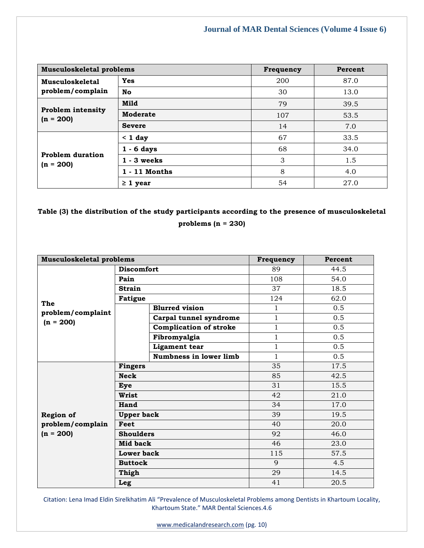| Musculoskeletal problems                   |                 | Frequency | Percent |
|--------------------------------------------|-----------------|-----------|---------|
| <b>Musculoskeletal</b><br>problem/complain | Yes             | 200       | 87.0    |
|                                            | No              | 30        | 13.0    |
| <b>Problem intensity</b><br>$(n = 200)$    | Mild            | 79        | 39.5    |
|                                            | Moderate        | 107       | 53.5    |
|                                            | <b>Severe</b>   | 14        | 7.0     |
| <b>Problem duration</b><br>$(n = 200)$     | $< 1$ day       | 67        | 33.5    |
|                                            | $1 - 6$ days    | 68        | 34.0    |
|                                            | $1 - 3$ weeks   | 3         | 1.5     |
|                                            | $1 - 11$ Months | 8         | 4.0     |
|                                            | $\geq 1$ year   | 54        | 27.0    |

**Table (3) the distribution of the study participants according to the presence of musculoskeletal problems (n = 230)**

| <b>Musculoskeletal problems</b>  |                   | Frequency                     | Percent      |      |
|----------------------------------|-------------------|-------------------------------|--------------|------|
|                                  | <b>Discomfort</b> |                               | 89           | 44.5 |
|                                  | Pain              |                               | 108          | 54.0 |
|                                  | <b>Strain</b>     |                               | 37           | 18.5 |
|                                  | <b>Fatigue</b>    |                               | 124          | 62.0 |
| The                              |                   | <b>Blurred vision</b>         | $\mathbf 1$  | 0.5  |
| problem/complaint<br>$(n = 200)$ |                   | Carpal tunnel syndrome        | 1            | 0.5  |
|                                  |                   | <b>Complication of stroke</b> | $\mathbf 1$  | 0.5  |
|                                  |                   | Fibromyalgia                  | $\mathbf{1}$ | 0.5  |
|                                  |                   | <b>Ligament</b> tear          | 1            | 0.5  |
|                                  |                   | Numbness in lower limb        | $\mathbf{1}$ | 0.5  |
|                                  | <b>Fingers</b>    |                               | 35           | 17.5 |
|                                  | <b>Neck</b>       |                               | 85           | 42.5 |
|                                  | Eye               |                               | 31           | 15.5 |
|                                  | Wrist             |                               | 42           | 21.0 |
|                                  | Hand              |                               | 34           | 17.0 |
| <b>Region of</b>                 | <b>Upper back</b> |                               | 39           | 19.5 |
| problem/complain<br>Feet         |                   |                               | 40           | 20.0 |
| $(n = 200)$                      | <b>Shoulders</b>  |                               | 92           | 46.0 |
|                                  | Mid back          |                               | 46           | 23.0 |
|                                  | Lower back        |                               | 115          | 57.5 |
|                                  | <b>Buttock</b>    |                               | $\mathbf{Q}$ | 4.5  |
|                                  | Thigh             |                               | 29           | 14.5 |
|                                  | Leg               |                               | 41           | 20.5 |

Citation: Lena Imad Eldin Sirelkhatim Ali "Prevalence of Musculoskeletal Problems among Dentists in Khartoum Locality, Khartoum State." MAR Dental Sciences.4.6

[www.medicalandresearch.com](http://www.medicalandresearch.com/) (pg. 10)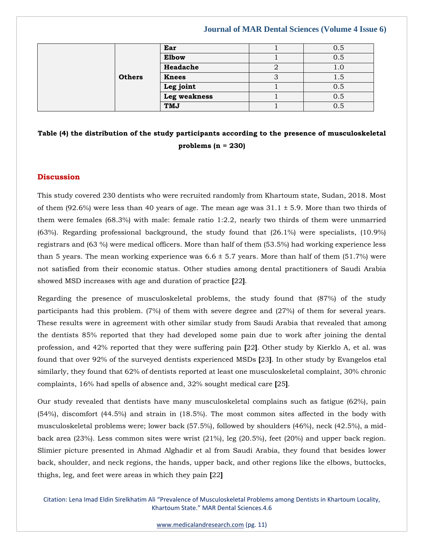|  |               | Ear          | 0.5  |
|--|---------------|--------------|------|
|  |               | <b>Elbow</b> | 0.5  |
|  |               | Headache     |      |
|  | <b>Others</b> | <b>Knees</b> | G. 1 |
|  |               | Leg joint    | 0.5  |
|  |               | Leg weakness | 0.5  |
|  |               | TMJ          | 0.5  |

# **Table (4) the distribution of the study participants according to the presence of musculoskeletal problems (n = 230)**

#### **Discussion**

This study covered 230 dentists who were recruited randomly from Khartoum state, Sudan, 2018. Most of them (92.6%) were less than 40 years of age. The mean age was  $31.1 \pm 5.9$ . More than two thirds of them were females (68.3%) with male: female ratio 1:2.2, nearly two thirds of them were unmarried (63%). Regarding professional background, the study found that (26.1%) were specialists, (10.9%) registrars and (63 %) were medical officers. More than half of them (53.5%) had working experience less than 5 years. The mean working experience was  $6.6 \pm 5.7$  years. More than half of them (51.7%) were not satisfied from their economic status. Other studies among dental practitioners of Saudi Arabia showed MSD increases with age and duration of practice **[**22**]**.

Regarding the presence of musculoskeletal problems, the study found that (87%) of the study participants had this problem. (7%) of them with severe degree and (27%) of them for several years. These results were in agreement with other similar study from Saudi Arabia that revealed that among the dentists 85% reported that they had developed some pain due to work after joining the dental profession, and 42% reported that they were suffering pain **[**22**]**. Other study by Kierklo A, et al. was found that over 92% of the surveyed dentists experienced MSDs **[**23**]**. In other study by Evangelos etal similarly, they found that 62% of dentists reported at least one musculoskeletal complaint, 30% chronic complaints, 16% had spells of absence and, 32% sought medical care **[**25**]**.

Our study revealed that dentists have many musculoskeletal complains such as fatigue (62%), pain (54%), discomfort (44.5%) and strain in (18.5%). The most common sites affected in the body with musculoskeletal problems were; lower back (57.5%), followed by shoulders (46%), neck (42.5%), a midback area (23%). Less common sites were wrist (21%), leg (20.5%), feet (20%) and upper back region. Slimier picture presented in Ahmad Alghadir et al from Saudi Arabia, they found that besides lower back, shoulder, and neck regions, the hands, upper back, and other regions like the elbows, buttocks, thighs, leg, and feet were areas in which they pain **[**22**]**

Citation: Lena Imad Eldin Sirelkhatim Ali "Prevalence of Musculoskeletal Problems among Dentists in Khartoum Locality, Khartoum State." MAR Dental Sciences.4.6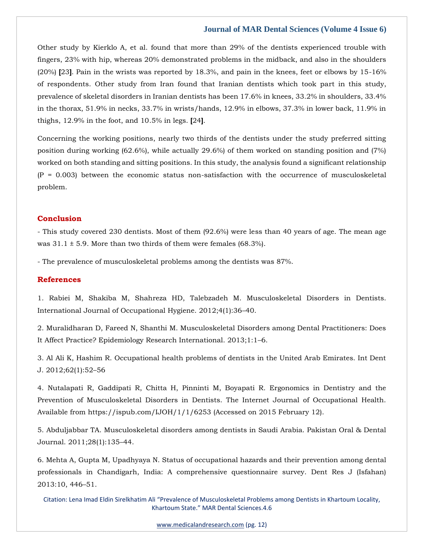Other study by Kierklo A, et al. found that more than 29% of the dentists experienced trouble with fingers, 23% with hip, whereas 20% demonstrated problems in the midback, and also in the shoulders (20%) **[**23**]**. Pain in the wrists was reported by 18.3%, and pain in the knees, feet or elbows by 15-16% of respondents. Other study from Iran found that Iranian dentists which took part in this study, prevalence of skeletal disorders in Iranian dentists has been 17.6% in knees, 33.2% in shoulders, 33.4% in the thorax, 51.9% in necks, 33.7% in wrists/hands, 12.9% in elbows, 37.3% in lower back, 11.9% in thighs, 12.9% in the foot, and 10.5% in legs. **[**24**]**.

Concerning the working positions, nearly two thirds of the dentists under the study preferred sitting position during working (62.6%), while actually 29.6%) of them worked on standing position and (7%) worked on both standing and sitting positions. In this study, the analysis found a significant relationship  $(P = 0.003)$  between the economic status non-satisfaction with the occurrence of musculoskeletal problem.

#### **Conclusion**

- This study covered 230 dentists. Most of them (92.6%) were less than 40 years of age. The mean age was  $31.1 \pm 5.9$ . More than two thirds of them were females (68.3%).

- The prevalence of musculoskeletal problems among the dentists was 87%.

#### **References**

[1. Rabiei M, Shakiba M, Shahreza HD, Talebzadeh M. Musculoskeletal Disorders in Dentists.](https://www.google.com/search?q=Musculoskeletal+Disorders+in+Dentists&sxsrf=APq-WBuubpPy3YJwNA-Me_0SBsi-JidkIQ%3A1645162080251&ei=YC4PYsPsDvKD4-EPkZ-L-As&ved=0ahUKEwjDnJCrwoj2AhXywTgGHZHPAr8Q4dUDCA4&oq=Musculoskeletal+Disorders+in+Dentists&gs_lcp=Cgdnd3Mtd2l6EAwyBQgAEIAEMgYIABAWEB4yBggAEBYQHjIGCAAQFhAeMgYIABAWEB4yBggAEBYQHjIGCAAQFhAeMgYIABAWEB4yBggAEBYQHjIGCAAQFhAeOgcIIxDqAhAnSgQIQRgASgQIRhgAUMcHWMcHYOAPaAFwAXgAgAHWAYgB1gGSAQMyLTGYAQCgAQGgAQKwAQrAAQE&sclient=gws-wiz)  [International Journal of Occupational Hygiene. 2012;4\(1\):36](https://www.google.com/search?q=Musculoskeletal+Disorders+in+Dentists&sxsrf=APq-WBuubpPy3YJwNA-Me_0SBsi-JidkIQ%3A1645162080251&ei=YC4PYsPsDvKD4-EPkZ-L-As&ved=0ahUKEwjDnJCrwoj2AhXywTgGHZHPAr8Q4dUDCA4&oq=Musculoskeletal+Disorders+in+Dentists&gs_lcp=Cgdnd3Mtd2l6EAwyBQgAEIAEMgYIABAWEB4yBggAEBYQHjIGCAAQFhAeMgYIABAWEB4yBggAEBYQHjIGCAAQFhAeMgYIABAWEB4yBggAEBYQHjIGCAAQFhAeOgcIIxDqAhAnSgQIQRgASgQIRhgAUMcHWMcHYOAPaAFwAXgAgAHWAYgB1gGSAQMyLTGYAQCgAQGgAQKwAQrAAQE&sclient=gws-wiz)–40.

[2. Muralidharan D, Fareed N, Shanthi M. Musculoskeletal Disorders among Dental Practitioners: Does](https://www.google.com/search?q=Does+It+Affect+Practice&sxsrf=APq-WBsLKe5222ETuy81LENVT0_UlPI-9g%3A1645166950260&ei=ZkEPYqSdD__Zz7sPvaqF6AM&ved=0ahUKEwik6Km91Ij2AhX_7HMBHT1VAT0Q4dUDCA4&oq=Does+It+Affect+Practice&gs_lcp=Cgdnd3Mtd2l6EAwyBggAEBYQHjIGCAAQFhAeMgYIABAWEB4yBggAEBYQHjIGCAAQFhAeOgcIIxDqAhAnSgQIQRgASgQIRhgAUOMHWOMHYOoPaAFwAXgAgAGVAYgBlQGSAQMwLjGYAQCgAQGgAQKwAQrAAQE&sclient=gws-wiz)  [It Affect Practice? Epidemiology Research International. 2013;1:1](https://www.google.com/search?q=Does+It+Affect+Practice&sxsrf=APq-WBsLKe5222ETuy81LENVT0_UlPI-9g%3A1645166950260&ei=ZkEPYqSdD__Zz7sPvaqF6AM&ved=0ahUKEwik6Km91Ij2AhX_7HMBHT1VAT0Q4dUDCA4&oq=Does+It+Affect+Practice&gs_lcp=Cgdnd3Mtd2l6EAwyBggAEBYQHjIGCAAQFhAeMgYIABAWEB4yBggAEBYQHjIGCAAQFhAeOgcIIxDqAhAnSgQIQRgASgQIRhgAUOMHWOMHYOoPaAFwAXgAgAGVAYgBlQGSAQMwLjGYAQCgAQGgAQKwAQrAAQE&sclient=gws-wiz)–6.

[3. Al Ali K, Hashim R. Occupational health problems of dentists in the United Arab Emirates. Int Dent](https://www.google.com/search?q=Occupational+health+problems+of+dentists+in+the+United+Arab+Emirates&sxsrf=APq-WBsi8FAxF6pJhXAB1JUVvINdQb3zuQ%3A1645166975922&ei=f0EPYt7kN57Zz7sP_Kud0Ac&ved=0ahUKEwieoMjJ1Ij2AhWe7HMBHfxVB3oQ4dUDCA4&oq=Occupational+health+problems+of+dentists+in+the+United+Arab+Emirates&gs_lcp=Cgdnd3Mtd2l6EAw6BwgjEOoCECdKBAhBGABKBAhGGABQywFYywFgmQ1oAXABeACAAYUDiAGFA5IBAzMtMZgBAKABAaABArABCsABAQ&sclient=gws-wiz)  [J. 2012;62\(1\):52](https://www.google.com/search?q=Occupational+health+problems+of+dentists+in+the+United+Arab+Emirates&sxsrf=APq-WBsi8FAxF6pJhXAB1JUVvINdQb3zuQ%3A1645166975922&ei=f0EPYt7kN57Zz7sP_Kud0Ac&ved=0ahUKEwieoMjJ1Ij2AhWe7HMBHfxVB3oQ4dUDCA4&oq=Occupational+health+problems+of+dentists+in+the+United+Arab+Emirates&gs_lcp=Cgdnd3Mtd2l6EAw6BwgjEOoCECdKBAhBGABKBAhGGABQywFYywFgmQ1oAXABeACAAYUDiAGFA5IBAzMtMZgBAKABAaABArABCsABAQ&sclient=gws-wiz)–56

[4. Nutalapati R, Gaddipati R, Chitta H, Pinninti M, Boyapati R. Ergonomics in Dentistry and the](file:///C:/Users/Arief%20Mahimudh/Desktop/4.%20Nutalapati%20R,%20Gaddipati%20R,%20Chitta%20H,%20Pinninti%20M,%20Boyapati%20R.%20Ergonomics%20in%20Dentistry%20and%20the%20Prevention%20of%20Musculoskeletal%20Disorders%20in%20Dentists.%20The%20Internet%20Journal%20of%20Occupational%20Health.%20Available%20from%20https:/ispub.com/IJOH/1/1/6253%20(Accessed%20on%202015%20February%2012).)  [Prevention of Musculoskeletal Disorders in Dentists. The Internet Journal of Occupational Health.](file:///C:/Users/Arief%20Mahimudh/Desktop/4.%20Nutalapati%20R,%20Gaddipati%20R,%20Chitta%20H,%20Pinninti%20M,%20Boyapati%20R.%20Ergonomics%20in%20Dentistry%20and%20the%20Prevention%20of%20Musculoskeletal%20Disorders%20in%20Dentists.%20The%20Internet%20Journal%20of%20Occupational%20Health.%20Available%20from%20https:/ispub.com/IJOH/1/1/6253%20(Accessed%20on%202015%20February%2012).)  [Available from https://ispub.com/IJOH/1/1/6253 \(Accessed on 2015 February 12\).](file:///C:/Users/Arief%20Mahimudh/Desktop/4.%20Nutalapati%20R,%20Gaddipati%20R,%20Chitta%20H,%20Pinninti%20M,%20Boyapati%20R.%20Ergonomics%20in%20Dentistry%20and%20the%20Prevention%20of%20Musculoskeletal%20Disorders%20in%20Dentists.%20The%20Internet%20Journal%20of%20Occupational%20Health.%20Available%20from%20https:/ispub.com/IJOH/1/1/6253%20(Accessed%20on%202015%20February%2012).)

[5. Abduljabbar TA. Musculoskeletal disorders among dentists in Saudi Arabia. Pakistan Oral & Dental](https://www.google.com/search?q=Musculoskeletal+disorders+among+dentists+in+Saudi+Arabia&sxsrf=APq-WBuBJFVVDU69byvPVtRo58RBAMsVcA%3A1645167011892&ei=o0EPYuP6Nfvjz7sPisyH4AM&ved=0ahUKEwij2Nva1Ij2AhX78XMBHQrmATwQ4dUDCA4&oq=Musculoskeletal+disorders+among+dentists+in+Saudi+Arabia&gs_lcp=Cgdnd3Mtd2l6EAwyBggAEBYQHjoHCCMQ6gIQJ0oECEEYAEoECEYYAFDYAljYAmC9C2gBcAF4AIABzAGIAcwBkgEDMi0xmAEAoAEBoAECsAEKwAEB&sclient=gws-wiz)  [Journal. 2011;28\(1\):135](https://www.google.com/search?q=Musculoskeletal+disorders+among+dentists+in+Saudi+Arabia&sxsrf=APq-WBuBJFVVDU69byvPVtRo58RBAMsVcA%3A1645167011892&ei=o0EPYuP6Nfvjz7sPisyH4AM&ved=0ahUKEwij2Nva1Ij2AhX78XMBHQrmATwQ4dUDCA4&oq=Musculoskeletal+disorders+among+dentists+in+Saudi+Arabia&gs_lcp=Cgdnd3Mtd2l6EAwyBggAEBYQHjoHCCMQ6gIQJ0oECEEYAEoECEYYAFDYAljYAmC9C2gBcAF4AIABzAGIAcwBkgEDMi0xmAEAoAEBoAECsAEKwAEB&sclient=gws-wiz)–44.

[6. Mehta A, Gupta M, Upadhyaya N. Status of occupational hazards and their prevention among dental](https://www.google.com/search?q=A+comprehensive+questionnaire+survey&sxsrf=APq-WBtntdpQGMq2wI16MvdBuQdLsKnXpw%3A1645167034556&ei=ukEPYoyfIfXrz7sPprGomAE&ved=0ahUKEwiM5MLl1Ij2AhX19XMBHaYYChMQ4dUDCA4&oq=A+comprehensive+questionnaire+survey&gs_lcp=Cgdnd3Mtd2l6EAwyCAghEBYQHRAeMggIIRAWEB0QHjIICCEQFhAdEB46BwgjEOoCECdKBAhBGABKBAhGGABQ0wdY0wdg-AtoAXABeACAAbcBiAG3AZIBAzAuMZgBAKABAaABArABCsABAQ&sclient=gws-wiz)  [professionals in Chandigarh, India: A comprehensive questionnaire survey. Dent Res J \(Isfahan\)](https://www.google.com/search?q=A+comprehensive+questionnaire+survey&sxsrf=APq-WBtntdpQGMq2wI16MvdBuQdLsKnXpw%3A1645167034556&ei=ukEPYoyfIfXrz7sPprGomAE&ved=0ahUKEwiM5MLl1Ij2AhX19XMBHaYYChMQ4dUDCA4&oq=A+comprehensive+questionnaire+survey&gs_lcp=Cgdnd3Mtd2l6EAwyCAghEBYQHRAeMggIIRAWEB0QHjIICCEQFhAdEB46BwgjEOoCECdKBAhBGABKBAhGGABQ0wdY0wdg-AtoAXABeACAAbcBiAG3AZIBAzAuMZgBAKABAaABArABCsABAQ&sclient=gws-wiz)  [2013:10, 446](https://www.google.com/search?q=A+comprehensive+questionnaire+survey&sxsrf=APq-WBtntdpQGMq2wI16MvdBuQdLsKnXpw%3A1645167034556&ei=ukEPYoyfIfXrz7sPprGomAE&ved=0ahUKEwiM5MLl1Ij2AhX19XMBHaYYChMQ4dUDCA4&oq=A+comprehensive+questionnaire+survey&gs_lcp=Cgdnd3Mtd2l6EAwyCAghEBYQHRAeMggIIRAWEB0QHjIICCEQFhAdEB46BwgjEOoCECdKBAhBGABKBAhGGABQ0wdY0wdg-AtoAXABeACAAbcBiAG3AZIBAzAuMZgBAKABAaABArABCsABAQ&sclient=gws-wiz)–51.

Citation: Lena Imad Eldin Sirelkhatim Ali "Prevalence of Musculoskeletal Problems among Dentists in Khartoum Locality, Khartoum State." MAR Dental Sciences.4.6

[www.medicalandresearch.com](http://www.medicalandresearch.com/) (pg. 12)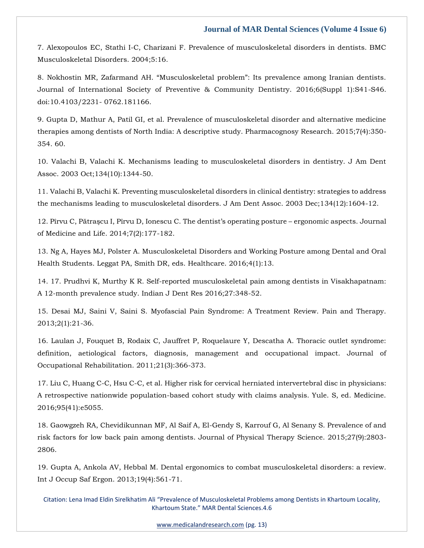7. Alexopoulos [EC, Stathi I-C, Charizani F. Prevalence of musculoskeletal disorders in dentists. BMC](https://www.google.com/search?q=Prevalence+of+musculoskeletal+disorders+in+dentists&sxsrf=APq-WBsxFJKgLviCUByc1zgJOXLndrOdig%3A1645167057670&ei=0UEPYt6lKMrA3LUP1YSpiA4&ved=0ahUKEwie0sXw1Ij2AhVKILcAHVVCCuEQ4dUDCA4&oq=Prevalence+of+musculoskeletal+disorders+in+dentists&gs_lcp=Cgdnd3Mtd2l6EAwyBQgAEIAEMgYIABAWEB46BwgjEOoCECdKBAhBGABKBAhGGABQwgRYwgRgwQ9oAXABeACAAeQDiAHkA5IBAzQtMZgBAKABAaABArABCsABAQ&sclient=gws-wiz)  [Musculoskeletal Disorders. 2004;5:16.](https://www.google.com/search?q=Prevalence+of+musculoskeletal+disorders+in+dentists&sxsrf=APq-WBsxFJKgLviCUByc1zgJOXLndrOdig%3A1645167057670&ei=0UEPYt6lKMrA3LUP1YSpiA4&ved=0ahUKEwie0sXw1Ij2AhVKILcAHVVCCuEQ4dUDCA4&oq=Prevalence+of+musculoskeletal+disorders+in+dentists&gs_lcp=Cgdnd3Mtd2l6EAwyBQgAEIAEMgYIABAWEB46BwgjEOoCECdKBAhBGABKBAhGGABQwgRYwgRgwQ9oAXABeACAAeQDiAHkA5IBAzQtMZgBAKABAaABArABCsABAQ&sclient=gws-wiz)

[8. Nokhostin MR, Zafarmand AH. "Musculoskeletal problem": Its prevalence among Iranian dentists.](https://www.google.com/search?q=Musculoskeletal+problem&sxsrf=APq-WBsj6KbP8pGcad38mLTaCdxhkUTdrg%3A1645167074023&ei=4kEPYqd0nMPctQ-49bSYDw&ved=0ahUKEwin7av41Ij2AhWcIbcAHbg6DfMQ4dUDCA4&oq=Musculoskeletal+problem&gs_lcp=Cgdnd3Mtd2l6EAwyCggAEIAEEIcCEBQyBQgAEIAEMgUIABCABDIFCAAQgAQyBQgAEIAEMgUIABCABDIFCAAQgAQyBQgAEIAEMgUIABCABDIFCAAQgAQ6BwgjEOoCECdKBAhBGABKBAhGGABQ5gZY5gZg3gtoAXABeACAAbEBiAGxAZIBAzAuMZgBAKABAaABArABCsABAQ&sclient=gws-wiz)  [Journal of International Society of Preventive & Community Dentistry. 2016;6\(Suppl 1\):S41-S46.](https://www.google.com/search?q=Musculoskeletal+problem&sxsrf=APq-WBsj6KbP8pGcad38mLTaCdxhkUTdrg%3A1645167074023&ei=4kEPYqd0nMPctQ-49bSYDw&ved=0ahUKEwin7av41Ij2AhWcIbcAHbg6DfMQ4dUDCA4&oq=Musculoskeletal+problem&gs_lcp=Cgdnd3Mtd2l6EAwyCggAEIAEEIcCEBQyBQgAEIAEMgUIABCABDIFCAAQgAQyBQgAEIAEMgUIABCABDIFCAAQgAQyBQgAEIAEMgUIABCABDIFCAAQgAQ6BwgjEOoCECdKBAhBGABKBAhGGABQ5gZY5gZg3gtoAXABeACAAbEBiAGxAZIBAzAuMZgBAKABAaABArABCsABAQ&sclient=gws-wiz)  [doi:10.4103/2231-](https://www.google.com/search?q=Musculoskeletal+problem&sxsrf=APq-WBsj6KbP8pGcad38mLTaCdxhkUTdrg%3A1645167074023&ei=4kEPYqd0nMPctQ-49bSYDw&ved=0ahUKEwin7av41Ij2AhWcIbcAHbg6DfMQ4dUDCA4&oq=Musculoskeletal+problem&gs_lcp=Cgdnd3Mtd2l6EAwyCggAEIAEEIcCEBQyBQgAEIAEMgUIABCABDIFCAAQgAQyBQgAEIAEMgUIABCABDIFCAAQgAQyBQgAEIAEMgUIABCABDIFCAAQgAQ6BwgjEOoCECdKBAhBGABKBAhGGABQ5gZY5gZg3gtoAXABeACAAbEBiAGxAZIBAzAuMZgBAKABAaABArABCsABAQ&sclient=gws-wiz) 0762.181166.

[9. Gupta D, Mathur A, Patil GI, et al. Prevalence of musculoskeletal disorder and alternative medicine](https://www.google.com/search?q=Prevalence+of+musculoskeletal+disorder+and+alternative+medicine+therapies+among+dentists+of+North+India&sxsrf=APq-WBsqjz3OQfRyA9xNYNEljz1-GudIMw%3A1645167095161&ei=90EPYqCoCd-F4t4Pk9OAgAM&ved=0ahUKEwjg_7WC1Yj2AhXfgtgFHZMpADAQ4dUDCA4&oq=Prevalence+of+musculoskeletal+disorder+and+alternative+medicine+therapies+among+dentists+of+North+India&gs_lcp=Cgdnd3Mtd2l6EAwyBwgjEOoCECcyBwgjEOoCECcyBwgjEOoCECcyBwgjEOoCECcyBwgjEOoCECcyBwgjEOoCECcyBwgjEOoCECcyBwgjEOoCECcyBwgjEOoCECcyBwgjEOoCECdKBAhBGABKBAhGGABQvwRYvwRgyQtoAXABeACAAQCIAQCSAQCYAQCgAQGgAQKwAQrAAQE&sclient=gws-wiz)  [therapies among dentists of North India: A descriptive study. Pharmacognosy Research. 2015;7\(4\):350-](https://www.google.com/search?q=Prevalence+of+musculoskeletal+disorder+and+alternative+medicine+therapies+among+dentists+of+North+India&sxsrf=APq-WBsqjz3OQfRyA9xNYNEljz1-GudIMw%3A1645167095161&ei=90EPYqCoCd-F4t4Pk9OAgAM&ved=0ahUKEwjg_7WC1Yj2AhXfgtgFHZMpADAQ4dUDCA4&oq=Prevalence+of+musculoskeletal+disorder+and+alternative+medicine+therapies+among+dentists+of+North+India&gs_lcp=Cgdnd3Mtd2l6EAwyBwgjEOoCECcyBwgjEOoCECcyBwgjEOoCECcyBwgjEOoCECcyBwgjEOoCECcyBwgjEOoCECcyBwgjEOoCECcyBwgjEOoCECcyBwgjEOoCECcyBwgjEOoCECdKBAhBGABKBAhGGABQvwRYvwRgyQtoAXABeACAAQCIAQCSAQCYAQCgAQGgAQKwAQrAAQE&sclient=gws-wiz) [354. 60.](https://www.google.com/search?q=Prevalence+of+musculoskeletal+disorder+and+alternative+medicine+therapies+among+dentists+of+North+India&sxsrf=APq-WBsqjz3OQfRyA9xNYNEljz1-GudIMw%3A1645167095161&ei=90EPYqCoCd-F4t4Pk9OAgAM&ved=0ahUKEwjg_7WC1Yj2AhXfgtgFHZMpADAQ4dUDCA4&oq=Prevalence+of+musculoskeletal+disorder+and+alternative+medicine+therapies+among+dentists+of+North+India&gs_lcp=Cgdnd3Mtd2l6EAwyBwgjEOoCECcyBwgjEOoCECcyBwgjEOoCECcyBwgjEOoCECcyBwgjEOoCECcyBwgjEOoCECcyBwgjEOoCECcyBwgjEOoCECcyBwgjEOoCECcyBwgjEOoCECdKBAhBGABKBAhGGABQvwRYvwRgyQtoAXABeACAAQCIAQCSAQCYAQCgAQGgAQKwAQrAAQE&sclient=gws-wiz)

[10. Valachi B, Valachi K. Mechanisms leading to musculoskeletal disorders in dentistry. J Am Dent](https://www.google.com/search?q=Mechanisms+leading+to+musculoskeletal+disorders+in+dentistry&sxsrf=APq-WBv6vbtK3KP8sd0sfEFi5Hdvb0T8SQ%3A1645167114838&ei=CkIPYpjJMtzA3LUPotCl4AU&ved=0ahUKEwiY9uaL1Yj2AhVcILcAHSJoCVwQ4dUDCA4&oq=Mechanisms+leading+to+musculoskeletal+disorders+in+dentistry&gs_lcp=Cgdnd3Mtd2l6EAwyBQgAEIAEOgcIIxDqAhAnSgQIQRgASgQIRhgAUPoEWPoEYOkKaAFwAHgAgAGTAogBkwKSAQMyLTGYAQCgAQGgAQKwAQrAAQE&sclient=gws-wiz)  [Assoc. 2003 Oct;134\(10\):1344-50.](https://www.google.com/search?q=Mechanisms+leading+to+musculoskeletal+disorders+in+dentistry&sxsrf=APq-WBv6vbtK3KP8sd0sfEFi5Hdvb0T8SQ%3A1645167114838&ei=CkIPYpjJMtzA3LUPotCl4AU&ved=0ahUKEwiY9uaL1Yj2AhVcILcAHSJoCVwQ4dUDCA4&oq=Mechanisms+leading+to+musculoskeletal+disorders+in+dentistry&gs_lcp=Cgdnd3Mtd2l6EAwyBQgAEIAEOgcIIxDqAhAnSgQIQRgASgQIRhgAUPoEWPoEYOkKaAFwAHgAgAGTAogBkwKSAQMyLTGYAQCgAQGgAQKwAQrAAQE&sclient=gws-wiz)

[11. Valachi B, Valachi K. Preventing musculoskeletal disorders in clinical dentistry: strategies to address](https://www.google.com/search?q=Preventing+musculoskeletal+disorders+in+clinical+dentistry&sxsrf=APq-WBtrof8518_wZ86ks5JB6T6p18wGlg%3A1645167133874&ei=HUIPYoL0NPKbmgf2nbrACA&ved=0ahUKEwjC9vCU1Yj2AhXyjeYKHfaODogQ4dUDCA4&oq=Preventing+musculoskeletal+disorders+in+clinical+dentistry&gs_lcp=Cgdnd3Mtd2l6EAwyBQgAEIAEOgcIIxDqAhAnSgQIQRgASgQIRhgAUM8BWM8BYLcJaAFwAXgAgAGeAYgBngGSAQMwLjGYAQCgAQGgAQKwAQrAAQE&sclient=gws-wiz)  [the mechanisms leading to musculoskeletal disorders. J Am Dent Assoc. 2003 Dec;134\(12\):1604-12.](https://www.google.com/search?q=Preventing+musculoskeletal+disorders+in+clinical+dentistry&sxsrf=APq-WBtrof8518_wZ86ks5JB6T6p18wGlg%3A1645167133874&ei=HUIPYoL0NPKbmgf2nbrACA&ved=0ahUKEwjC9vCU1Yj2AhXyjeYKHfaODogQ4dUDCA4&oq=Preventing+musculoskeletal+disorders+in+clinical+dentistry&gs_lcp=Cgdnd3Mtd2l6EAwyBQgAEIAEOgcIIxDqAhAnSgQIQRgASgQIRhgAUM8BWM8BYLcJaAFwAXgAgAGeAYgBngGSAQMwLjGYAQCgAQGgAQKwAQrAAQE&sclient=gws-wiz)

[12. Pîrvu C, Pătraşcu I, Pîrvu D, Ionescu](https://www.google.com/search?q=The+dentist%E2%80%99s+operating+posture+%E2%80%93+ergonomic+aspects&sxsrf=APq-WBtLizXAceV0E7laCV7G7JWyKxV9Pg%3A1645167149401&ei=LUIPYveNGKLtz7sP88i-4As&ved=0ahUKEwi32KSc1Yj2AhWi9nMBHXOkD7wQ4dUDCA4&oq=The+dentist%E2%80%99s+operating+posture+%E2%80%93+ergonomic+aspects&gs_lcp=Cgdnd3Mtd2l6EAwyCAghEBYQHRAeOgcIIxDqAhAnSgQIQRgASgQIRhgAUNQCWNQCYKAKaAFwAHgAgAGoAYgBqAGSAQMwLjGYAQCgAQGgAQKwAQrAAQE&sclient=gws-wiz) C. The dentist's operating posture – ergonomic aspects. Journal [of Medicine and Life. 2014;7\(2\):177-182.](https://www.google.com/search?q=The+dentist%E2%80%99s+operating+posture+%E2%80%93+ergonomic+aspects&sxsrf=APq-WBtLizXAceV0E7laCV7G7JWyKxV9Pg%3A1645167149401&ei=LUIPYveNGKLtz7sP88i-4As&ved=0ahUKEwi32KSc1Yj2AhWi9nMBHXOkD7wQ4dUDCA4&oq=The+dentist%E2%80%99s+operating+posture+%E2%80%93+ergonomic+aspects&gs_lcp=Cgdnd3Mtd2l6EAwyCAghEBYQHRAeOgcIIxDqAhAnSgQIQRgASgQIRhgAUNQCWNQCYKAKaAFwAHgAgAGoAYgBqAGSAQMwLjGYAQCgAQGgAQKwAQrAAQE&sclient=gws-wiz)

[13. Ng A, Hayes MJ, Polster A. Musculoskeletal Disorders and Working Posture among Dental and Oral](https://www.google.com/search?q=Musculoskeletal+Disorders+and+Working+Posture+among+Dental+and+Oral+Health+Students&sxsrf=APq-WBuAzqn-jppvl2QyZzKh3GYZGYOgzQ%3A1645167164404&ei=PEIPYuKMGNWq4t4Pw8-c8Ao&ved=0ahUKEwjimrij1Yj2AhVVldgFHcMnB64Q4dUDCA4&oq=Musculoskeletal+Disorders+and+Working+Posture+among+Dental+and+Oral+Health+Students&gs_lcp=Cgdnd3Mtd2l6EAwyBQgAEIAEOgcIIxDqAhAnSgQIQRgASgQIRhgAUNkEWNkEYI8LaAFwAXgAgAHtAogB7QKSAQMzLTGYAQCgAQGgAQKwAQrAAQE&sclient=gws-wiz)  [Health Students. Leggat PA, Smith DR, eds. Healthcare. 2016;4\(1\):13.](https://www.google.com/search?q=Musculoskeletal+Disorders+and+Working+Posture+among+Dental+and+Oral+Health+Students&sxsrf=APq-WBuAzqn-jppvl2QyZzKh3GYZGYOgzQ%3A1645167164404&ei=PEIPYuKMGNWq4t4Pw8-c8Ao&ved=0ahUKEwjimrij1Yj2AhVVldgFHcMnB64Q4dUDCA4&oq=Musculoskeletal+Disorders+and+Working+Posture+among+Dental+and+Oral+Health+Students&gs_lcp=Cgdnd3Mtd2l6EAwyBQgAEIAEOgcIIxDqAhAnSgQIQRgASgQIRhgAUNkEWNkEYI8LaAFwAXgAgAHtAogB7QKSAQMzLTGYAQCgAQGgAQKwAQrAAQE&sclient=gws-wiz)

[14. 17. Prudhvi K, Murthy K R. Self-reported musculoskeletal pain among dentists in Visakhapatnam:](https://www.google.com/search?q=Self-reported+musculoskeletal+pain+among+dentists+in+Visakhapatnam&sxsrf=APq-WBsg2ct-R01aru66Rl6QzUt5M5X2zg%3A1645167359579&ei=_0IPYvPoIrrB3LUPiPmgyAg&ved=0ahUKEwiz5MCA1oj2AhW6ILcAHYg8CIkQ4dUDCA4&oq=Self-reported+musculoskeletal+pain+among+dentists+in+Visakhapatnam&gs_lcp=Cgdnd3Mtd2l6EAw6BwgjEOoCECdKBAhBGABKBAhGGABQRVhFYM4LaAFwAHgAgAHLAYgBywGSAQMyLTGYAQCgAQGgAQKwAQrAAQE&sclient=gws-wiz)  [A 12-month prevalence study. Indian J Dent Res 2016;27:348-52.](https://www.google.com/search?q=Self-reported+musculoskeletal+pain+among+dentists+in+Visakhapatnam&sxsrf=APq-WBsg2ct-R01aru66Rl6QzUt5M5X2zg%3A1645167359579&ei=_0IPYvPoIrrB3LUPiPmgyAg&ved=0ahUKEwiz5MCA1oj2AhW6ILcAHYg8CIkQ4dUDCA4&oq=Self-reported+musculoskeletal+pain+among+dentists+in+Visakhapatnam&gs_lcp=Cgdnd3Mtd2l6EAw6BwgjEOoCECdKBAhBGABKBAhGGABQRVhFYM4LaAFwAHgAgAHLAYgBywGSAQMyLTGYAQCgAQGgAQKwAQrAAQE&sclient=gws-wiz)

[15. Desai MJ, Saini V, Saini S. Myofascial Pain Syndrome: A Treatment Review. Pain and Therapy.](https://www.google.com/search?q=Myofascial+Pain+Syndrome%3A+A+Treatment+Review&sxsrf=APq-WBuX7X01zRM6jXPzPfuXTxFH2Ee2Jw%3A1645167373638&ei=DUMPYvOjJtKb4t4P98CBkAM&ved=0ahUKEwiz3pqH1oj2AhXSjdgFHXdgADIQ4dUDCA4&oq=Myofascial+Pain+Syndrome%3A+A+Treatment+Review&gs_lcp=Cgdnd3Mtd2l6EAwyBggAEBYQHjoHCCMQ6gIQJ0oECEEYAEoECEYYAFC6AVi6AWCSCWgBcAF4AIABpwGIAacBkgEDMC4xmAEAoAEBoAECsAEKwAEB&sclient=gws-wiz)  [2013;2\(1\):21-36.](https://www.google.com/search?q=Myofascial+Pain+Syndrome%3A+A+Treatment+Review&sxsrf=APq-WBuX7X01zRM6jXPzPfuXTxFH2Ee2Jw%3A1645167373638&ei=DUMPYvOjJtKb4t4P98CBkAM&ved=0ahUKEwiz3pqH1oj2AhXSjdgFHXdgADIQ4dUDCA4&oq=Myofascial+Pain+Syndrome%3A+A+Treatment+Review&gs_lcp=Cgdnd3Mtd2l6EAwyBggAEBYQHjoHCCMQ6gIQJ0oECEEYAEoECEYYAFC6AVi6AWCSCWgBcAF4AIABpwGIAacBkgEDMC4xmAEAoAEBoAECsAEKwAEB&sclient=gws-wiz)

[16. Laulan J, Fouquet B, Rodaix C, Jauffret P, Roquelaure Y, Descatha A. Thoracic outlet syndrome:](https://www.google.com/search?q=Thoracic+outlet+syndrome%3A+definition%2C+aetiological+factors%2C+diagnosis%2C+management+and+occupational+impact&sxsrf=APq-WBucdzIuNUyIIofBfj_Pteyh7U5-EQ%3A1645167444151&ei=VEMPYpbvCKOWseMPj6-l2AI&ved=0ahUKEwiW6eqo1oj2AhUjS2wGHY9XCSsQ4dUDCA4&oq=Thoracic+outlet+syndrome%3A+definition%2C+aetiological+factors%2C+diagnosis%2C+management+and+occupational+impact&gs_lcp=Cgdnd3Mtd2l6EAwyBwgjEOoCECcyBwgjEOoCECcyBwgjEOoCECcyBwgjEOoCECcyBwgjEOoCECcyBwgjEOoCECcyBwgjEOoCECcyBwgjEOoCECcyBwgjEOoCECcyBwgjEOoCECdKBAhBGABKBAhGGABQlwFYlwFgygdoAXABeACAAQCIAQCSAQCYAQCgAQGgAQKwAQrAAQE&sclient=gws-wiz)  [definition, aetiological factors, diagnosis, management and occupational impact. Journal of](https://www.google.com/search?q=Thoracic+outlet+syndrome%3A+definition%2C+aetiological+factors%2C+diagnosis%2C+management+and+occupational+impact&sxsrf=APq-WBucdzIuNUyIIofBfj_Pteyh7U5-EQ%3A1645167444151&ei=VEMPYpbvCKOWseMPj6-l2AI&ved=0ahUKEwiW6eqo1oj2AhUjS2wGHY9XCSsQ4dUDCA4&oq=Thoracic+outlet+syndrome%3A+definition%2C+aetiological+factors%2C+diagnosis%2C+management+and+occupational+impact&gs_lcp=Cgdnd3Mtd2l6EAwyBwgjEOoCECcyBwgjEOoCECcyBwgjEOoCECcyBwgjEOoCECcyBwgjEOoCECcyBwgjEOoCECcyBwgjEOoCECcyBwgjEOoCECcyBwgjEOoCECcyBwgjEOoCECdKBAhBGABKBAhGGABQlwFYlwFgygdoAXABeACAAQCIAQCSAQCYAQCgAQGgAQKwAQrAAQE&sclient=gws-wiz)  [Occupational Rehabilitation. 2011;21\(3\):366-373.](https://www.google.com/search?q=Thoracic+outlet+syndrome%3A+definition%2C+aetiological+factors%2C+diagnosis%2C+management+and+occupational+impact&sxsrf=APq-WBucdzIuNUyIIofBfj_Pteyh7U5-EQ%3A1645167444151&ei=VEMPYpbvCKOWseMPj6-l2AI&ved=0ahUKEwiW6eqo1oj2AhUjS2wGHY9XCSsQ4dUDCA4&oq=Thoracic+outlet+syndrome%3A+definition%2C+aetiological+factors%2C+diagnosis%2C+management+and+occupational+impact&gs_lcp=Cgdnd3Mtd2l6EAwyBwgjEOoCECcyBwgjEOoCECcyBwgjEOoCECcyBwgjEOoCECcyBwgjEOoCECcyBwgjEOoCECcyBwgjEOoCECcyBwgjEOoCECcyBwgjEOoCECcyBwgjEOoCECdKBAhBGABKBAhGGABQlwFYlwFgygdoAXABeACAAQCIAQCSAQCYAQCgAQGgAQKwAQrAAQE&sclient=gws-wiz)

[17. Liu C, Huang C-C, Hsu C-C, et al. Higher risk for cervical herniated intervertebral disc in physicians:](https://www.google.com/search?q=Higher+risk+for+cervical+herniated+intervertebral+disc+in+physicians&sxsrf=APq-WBvR1zM-1-qGKqoKp3Z7Uz_Q1R9znA%3A1645167458298&ei=YkMPYvDJEfiWseMPs5GnQA&ved=0ahUKEwjwgsqv1oj2AhV4S2wGHbPICQgQ4dUDCA4&oq=Higher+risk+for+cervical+herniated+intervertebral+disc+in+physicians&gs_lcp=Cgdnd3Mtd2l6EAw6BwgjEOoCECdKBAhBGABKBAhGGABQ9wRY9wRgxgpoAXABeACAAb0CiAG9ApIBAzMtMZgBAKABAaABArABCsABAQ&sclient=gws-wiz)  [A retrospective nationwide population-based cohort study with claims analysis. Yule. S, ed. Medicine.](https://www.google.com/search?q=Higher+risk+for+cervical+herniated+intervertebral+disc+in+physicians&sxsrf=APq-WBvR1zM-1-qGKqoKp3Z7Uz_Q1R9znA%3A1645167458298&ei=YkMPYvDJEfiWseMPs5GnQA&ved=0ahUKEwjwgsqv1oj2AhV4S2wGHbPICQgQ4dUDCA4&oq=Higher+risk+for+cervical+herniated+intervertebral+disc+in+physicians&gs_lcp=Cgdnd3Mtd2l6EAw6BwgjEOoCECdKBAhBGABKBAhGGABQ9wRY9wRgxgpoAXABeACAAb0CiAG9ApIBAzMtMZgBAKABAaABArABCsABAQ&sclient=gws-wiz)  [2016;95\(41\):e5055.](https://www.google.com/search?q=Higher+risk+for+cervical+herniated+intervertebral+disc+in+physicians&sxsrf=APq-WBvR1zM-1-qGKqoKp3Z7Uz_Q1R9znA%3A1645167458298&ei=YkMPYvDJEfiWseMPs5GnQA&ved=0ahUKEwjwgsqv1oj2AhV4S2wGHbPICQgQ4dUDCA4&oq=Higher+risk+for+cervical+herniated+intervertebral+disc+in+physicians&gs_lcp=Cgdnd3Mtd2l6EAw6BwgjEOoCECdKBAhBGABKBAhGGABQ9wRY9wRgxgpoAXABeACAAb0CiAG9ApIBAzMtMZgBAKABAaABArABCsABAQ&sclient=gws-wiz)

[18. Gaowgzeh RA, Chevidikunnan MF, Al Saif A, El-Gendy S, Karrouf G, Al Senany S. Prevalence of and](https://www.google.com/search?q=Prevalence+of+and+risk+factors+for+low+back+pain+among+dentists&sxsrf=APq-WBuJsryj1lB17ncgdqXj3YVXZW149w%3A1645167472732&ei=cEMPYpOiLLWNseMP4u2oqAs&ved=0ahUKEwiTmru21oj2AhW1RmwGHeI2CrUQ4dUDCA4&oq=Prevalence+of+and+risk+factors+for+low+back+pain+among+dentists&gs_lcp=Cgdnd3Mtd2l6EAwyBQgAEIAEOgcIIxDqAhAnSgQIQRgASgQIRhgAULQGWLQGYM8KaAFwAXgAgAGUAYgBlAGSAQMwLjGYAQCgAQGgAQKwAQrAAQE&sclient=gws-wiz)  [risk factors for low back pain among dentists. Journal of Physical Therapy Science. 2015;27\(9\):2803-](https://www.google.com/search?q=Prevalence+of+and+risk+factors+for+low+back+pain+among+dentists&sxsrf=APq-WBuJsryj1lB17ncgdqXj3YVXZW149w%3A1645167472732&ei=cEMPYpOiLLWNseMP4u2oqAs&ved=0ahUKEwiTmru21oj2AhW1RmwGHeI2CrUQ4dUDCA4&oq=Prevalence+of+and+risk+factors+for+low+back+pain+among+dentists&gs_lcp=Cgdnd3Mtd2l6EAwyBQgAEIAEOgcIIxDqAhAnSgQIQRgASgQIRhgAULQGWLQGYM8KaAFwAXgAgAGUAYgBlAGSAQMwLjGYAQCgAQGgAQKwAQrAAQE&sclient=gws-wiz) [2806.](https://www.google.com/search?q=Prevalence+of+and+risk+factors+for+low+back+pain+among+dentists&sxsrf=APq-WBuJsryj1lB17ncgdqXj3YVXZW149w%3A1645167472732&ei=cEMPYpOiLLWNseMP4u2oqAs&ved=0ahUKEwiTmru21oj2AhW1RmwGHeI2CrUQ4dUDCA4&oq=Prevalence+of+and+risk+factors+for+low+back+pain+among+dentists&gs_lcp=Cgdnd3Mtd2l6EAwyBQgAEIAEOgcIIxDqAhAnSgQIQRgASgQIRhgAULQGWLQGYM8KaAFwAXgAgAGUAYgBlAGSAQMwLjGYAQCgAQGgAQKwAQrAAQE&sclient=gws-wiz)

[19. Gupta A, Ankola AV, Hebbal M. Dental ergonomics to combat musculoskeletal disorders: a review.](https://www.google.com/search?q=Dental+ergonomics+to+combat+musculoskeletal+disorders&sxsrf=APq-WBt65REo0y8eSMvWky996tiHWmiEMg%3A1645167538833&ei=skMPYsjDMq-dseMP3oScsAg&ved=0ahUKEwjI5P3V1oj2AhWvTmwGHV4CB4YQ4dUDCA4&oq=Dental+ergonomics+to+combat+musculoskeletal+disorders&gs_lcp=Cgdnd3Mtd2l6EAwyBggAEBYQHjoHCCMQ6gIQJ0oECEEYAEoECEYYAFC8Ali8AmDLCGgBcAF4AIAB9gGIAfYBkgEDMi0xmAEAoAEBoAECsAEKwAEB&sclient=gws-wiz)  [Int J Occup Saf Ergon. 2013;19\(4\):561-71.](https://www.google.com/search?q=Dental+ergonomics+to+combat+musculoskeletal+disorders&sxsrf=APq-WBt65REo0y8eSMvWky996tiHWmiEMg%3A1645167538833&ei=skMPYsjDMq-dseMP3oScsAg&ved=0ahUKEwjI5P3V1oj2AhWvTmwGHV4CB4YQ4dUDCA4&oq=Dental+ergonomics+to+combat+musculoskeletal+disorders&gs_lcp=Cgdnd3Mtd2l6EAwyBggAEBYQHjoHCCMQ6gIQJ0oECEEYAEoECEYYAFC8Ali8AmDLCGgBcAF4AIAB9gGIAfYBkgEDMi0xmAEAoAEBoAECsAEKwAEB&sclient=gws-wiz)

Citation: Lena Imad Eldin Sirelkhatim Ali "Prevalence of Musculoskeletal Problems among Dentists in Khartoum Locality, Khartoum State." MAR Dental Sciences.4.6

[www.medicalandresearch.com](http://www.medicalandresearch.com/) (pg. 13)